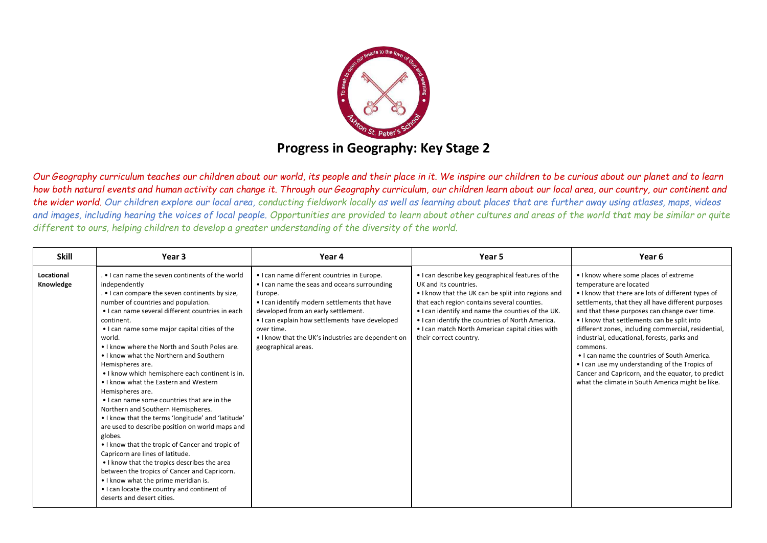

*Our Geography curriculum teaches our children about our world, its people and their place in it. We inspire our children to be curious about our planet and to learn how both natural events and human activity can change it. Through our Geography curriculum, our children learn about our local area, our country, our continent and the wider world. Our children explore our local area, conducting fieldwork locally as well as learning about places that are further away using atlases, maps, videos and images, including hearing the voices of local people. Opportunities are provided to learn about other cultures and areas of the world that may be similar or quite different to ours, helping children to develop a greater understanding of the diversity of the world.*

| <b>Skill</b>            | Year 3                                                                                                                                                                                                                                                                                                                                                                                                                                                                                                                                                                                                                                                                                                                                                                                                                                                                                                                                                                                                                                     | Year 4                                                                                                                                                                                                                                                                                                                                      | Year 5                                                                                                                                                                                                                                                                                                                                                                 | Year 6                                                                                                                                                                                                                                                                                                                                                                                                                                                                                                                                                                                                    |
|-------------------------|--------------------------------------------------------------------------------------------------------------------------------------------------------------------------------------------------------------------------------------------------------------------------------------------------------------------------------------------------------------------------------------------------------------------------------------------------------------------------------------------------------------------------------------------------------------------------------------------------------------------------------------------------------------------------------------------------------------------------------------------------------------------------------------------------------------------------------------------------------------------------------------------------------------------------------------------------------------------------------------------------------------------------------------------|---------------------------------------------------------------------------------------------------------------------------------------------------------------------------------------------------------------------------------------------------------------------------------------------------------------------------------------------|------------------------------------------------------------------------------------------------------------------------------------------------------------------------------------------------------------------------------------------------------------------------------------------------------------------------------------------------------------------------|-----------------------------------------------------------------------------------------------------------------------------------------------------------------------------------------------------------------------------------------------------------------------------------------------------------------------------------------------------------------------------------------------------------------------------------------------------------------------------------------------------------------------------------------------------------------------------------------------------------|
| Locational<br>Knowledge | . I can name the seven continents of the world<br>independently<br>. I can compare the seven continents by size,<br>number of countries and population.<br>• I can name several different countries in each<br>continent.<br>• I can name some major capital cities of the<br>world.<br>• I know where the North and South Poles are.<br>• I know what the Northern and Southern<br>Hemispheres are.<br>• I know which hemisphere each continent is in.<br>. I know what the Eastern and Western<br>Hemispheres are.<br>• I can name some countries that are in the<br>Northern and Southern Hemispheres.<br>• I know that the terms 'longitude' and 'latitude'<br>are used to describe position on world maps and<br>globes.<br>• I know that the tropic of Cancer and tropic of<br>Capricorn are lines of latitude.<br>• I know that the tropics describes the area<br>between the tropics of Cancer and Capricorn.<br>• I know what the prime meridian is.<br>• I can locate the country and continent of<br>deserts and desert cities. | • I can name different countries in Europe.<br>• I can name the seas and oceans surrounding<br>Europe.<br>. I can identify modern settlements that have<br>developed from an early settlement.<br>. I can explain how settlements have developed<br>over time.<br>• I know that the UK's industries are dependent on<br>geographical areas. | . I can describe key geographical features of the<br>UK and its countries.<br>. I know that the UK can be split into regions and<br>that each region contains several counties.<br>. I can identify and name the counties of the UK.<br>• I can identify the countries of North America.<br>• I can match North American capital cities with<br>their correct country. | • I know where some places of extreme<br>temperature are located<br>• I know that there are lots of different types of<br>settlements, that they all have different purposes<br>and that these purposes can change over time.<br>. I know that settlements can be split into<br>different zones, including commercial, residential,<br>industrial, educational, forests, parks and<br>commons.<br>• I can name the countries of South America.<br>• I can use my understanding of the Tropics of<br>Cancer and Capricorn, and the equator, to predict<br>what the climate in South America might be like. |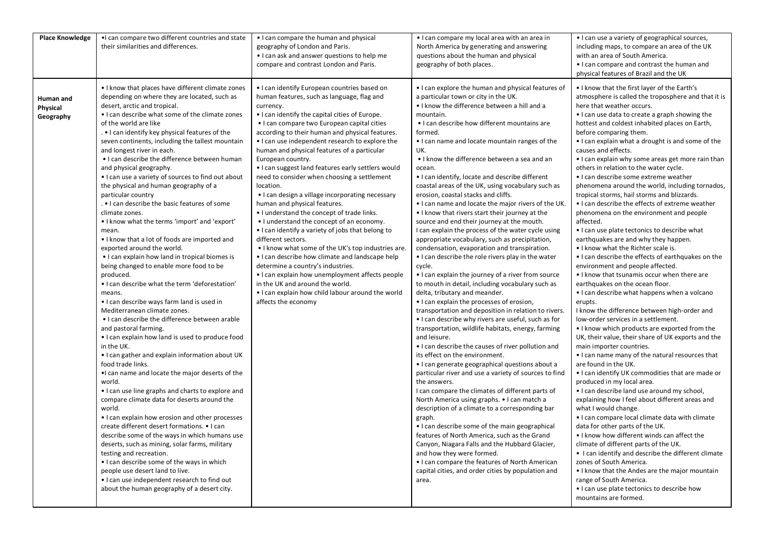| <b>Place Knowledge</b>             | . I can compare two different countries and state<br>their similarities and differences.                                                                                                                                                                                                                                                                                                                                                                                                                                                                                                                                                                                                                                                                                                                                                                                                                                                                                                                                                                                                                                                                                                                                                                                                                                                                                                                                                                                                                                                                                                                                                             | • I can compare the human and physical<br>geography of London and Paris.<br>• I can ask and answer questions to help me<br>compare and contrast London and Paris.                                                                                                                                                                                                                                                                                                                                                                                                                                                                                                                                                                                                                                                                                                                                                                                                                                                                                                              | • I can compare my local area with an area in<br>North America by generating and answering<br>questions about the human and physical<br>geography of both places.                                                                                                                                                                                                                                                                                                                                                                                                                                                                                                                                                                                                                                                                                                                                                                                                                                                                                                                                                                                                                                                                                                                                                                                                                                                                                                                                                                                                                                                                                                                                                                                                                                                      | • I can use a variety of geographical sources,<br>including maps, to compare an area of the UK<br>with an area of South America.<br>• I can compare and contrast the human and<br>physical features of Brazil and the UK                                                                                                                                                                                                                                                                                                                                                                                                                                                                                                                                                                                                                                                                                                                                                                                                                                                                                                                                                                                                                                                                                                                                                                                                                                                                                                                                                                                                                                                                                                                                                                                                    |
|------------------------------------|------------------------------------------------------------------------------------------------------------------------------------------------------------------------------------------------------------------------------------------------------------------------------------------------------------------------------------------------------------------------------------------------------------------------------------------------------------------------------------------------------------------------------------------------------------------------------------------------------------------------------------------------------------------------------------------------------------------------------------------------------------------------------------------------------------------------------------------------------------------------------------------------------------------------------------------------------------------------------------------------------------------------------------------------------------------------------------------------------------------------------------------------------------------------------------------------------------------------------------------------------------------------------------------------------------------------------------------------------------------------------------------------------------------------------------------------------------------------------------------------------------------------------------------------------------------------------------------------------------------------------------------------------|--------------------------------------------------------------------------------------------------------------------------------------------------------------------------------------------------------------------------------------------------------------------------------------------------------------------------------------------------------------------------------------------------------------------------------------------------------------------------------------------------------------------------------------------------------------------------------------------------------------------------------------------------------------------------------------------------------------------------------------------------------------------------------------------------------------------------------------------------------------------------------------------------------------------------------------------------------------------------------------------------------------------------------------------------------------------------------|------------------------------------------------------------------------------------------------------------------------------------------------------------------------------------------------------------------------------------------------------------------------------------------------------------------------------------------------------------------------------------------------------------------------------------------------------------------------------------------------------------------------------------------------------------------------------------------------------------------------------------------------------------------------------------------------------------------------------------------------------------------------------------------------------------------------------------------------------------------------------------------------------------------------------------------------------------------------------------------------------------------------------------------------------------------------------------------------------------------------------------------------------------------------------------------------------------------------------------------------------------------------------------------------------------------------------------------------------------------------------------------------------------------------------------------------------------------------------------------------------------------------------------------------------------------------------------------------------------------------------------------------------------------------------------------------------------------------------------------------------------------------------------------------------------------------|-----------------------------------------------------------------------------------------------------------------------------------------------------------------------------------------------------------------------------------------------------------------------------------------------------------------------------------------------------------------------------------------------------------------------------------------------------------------------------------------------------------------------------------------------------------------------------------------------------------------------------------------------------------------------------------------------------------------------------------------------------------------------------------------------------------------------------------------------------------------------------------------------------------------------------------------------------------------------------------------------------------------------------------------------------------------------------------------------------------------------------------------------------------------------------------------------------------------------------------------------------------------------------------------------------------------------------------------------------------------------------------------------------------------------------------------------------------------------------------------------------------------------------------------------------------------------------------------------------------------------------------------------------------------------------------------------------------------------------------------------------------------------------------------------------------------------------|
| Human and<br>Physical<br>Geography | • I know that places have different climate zones<br>depending on where they are located, such as<br>desert, arctic and tropical.<br>. I can describe what some of the climate zones<br>of the world are like<br>. • I can identify key physical features of the<br>seven continents, including the tallest mountain<br>and longest river in each.<br>• I can describe the difference between human<br>and physical geography.<br>• I can use a variety of sources to find out about<br>the physical and human geography of a<br>particular country<br>. • I can describe the basic features of some<br>climate zones.<br>• I know what the terms 'import' and 'export'<br>mean.<br>• I know that a lot of foods are imported and<br>exported around the world.<br>• I can explain how land in tropical biomes is<br>being changed to enable more food to be<br>produced.<br>• I can describe what the term 'deforestation'<br>means.<br>• I can describe ways farm land is used in<br>Mediterranean climate zones.<br>. I can describe the difference between arable<br>and pastoral farming.<br>• I can explain how land is used to produce food<br>in the UK.<br>• I can gather and explain information about UK<br>food trade links.<br>. I can name and locate the major deserts of the<br>world.<br>• I can use line graphs and charts to explore and<br>compare climate data for deserts around the<br>world.<br>• I can explain how erosion and other processes<br>create different desert formations. • I can<br>describe some of the ways in which humans use<br>deserts, such as mining, solar farms, military<br>testing and recreation. | • I can identify European countries based on<br>human features, such as language, flag and<br>currency.<br>. I can identify the capital cities of Europe.<br>• I can compare two European capital cities<br>according to their human and physical features.<br>. I can use independent research to explore the<br>human and physical features of a particular<br>European country.<br>. I can suggest land features early settlers would<br>need to consider when choosing a settlement<br>location.<br>• I can design a village incorporating necessary<br>human and physical features.<br>. I understand the concept of trade links.<br>• I understand the concept of an economy.<br>. I can identify a variety of jobs that belong to<br>different sectors.<br>. I know what some of the UK's top industries are.<br>. I can describe how climate and landscape help<br>determine a country's industries.<br>• I can explain how unemployment affects people<br>in the UK and around the world.<br>. I can explain how child labour around the world<br>affects the economy | • I can explore the human and physical features of<br>a particular town or city in the UK.<br>. I know the difference between a hill and a<br>mountain.<br>• I can describe how different mountains are<br>formed.<br>• I can name and locate mountain ranges of the<br>UK.<br>• I know the difference between a sea and an<br>ocean.<br>• I can identify, locate and describe different<br>coastal areas of the UK, using vocabulary such as<br>erosion, coastal stacks and cliffs.<br>• I can name and locate the major rivers of the UK.<br>• I know that rivers start their journey at the<br>source and end their journey at the mouth.<br>I can explain the process of the water cycle using<br>appropriate vocabulary, such as precipitation,<br>condensation, evaporation and transpiration.<br>• I can describe the role rivers play in the water<br>cycle.<br>• I can explain the journey of a river from source<br>to mouth in detail, including vocabulary such as<br>delta, tributary and meander.<br>• I can explain the processes of erosion,<br>transportation and deposition in relation to rivers.<br>• I can describe why rivers are useful, such as for<br>transportation, wildlife habitats, energy, farming<br>and leisure.<br>• I can describe the causes of river pollution and<br>its effect on the environment.<br>• I can generate geographical questions about a<br>particular river and use a variety of sources to find<br>the answers.<br>I can compare the climates of different parts of<br>North America using graphs. • I can match a<br>description of a climate to a corresponding bar<br>graph.<br>• I can describe some of the main geographical<br>features of North America, such as the Grand<br>Canyon, Niagara Falls and the Hubbard Glacier,<br>and how they were formed. | . I know that the first layer of the Earth's<br>atmosphere is called the troposphere and that it is<br>here that weather occurs.<br>• I can use data to create a graph showing the<br>hottest and coldest inhabited places on Earth,<br>before comparing them.<br>. I can explain what a drought is and some of the<br>causes and effects.<br>• I can explain why some areas get more rain than<br>others in relation to the water cycle.<br>• I can describe some extreme weather<br>phenomena around the world, including tornados,<br>tropical storms, hail storms and blizzards.<br>• I can describe the effects of extreme weather<br>phenomena on the environment and people<br>affected.<br>• I can use plate tectonics to describe what<br>earthquakes are and why they happen.<br>. I know what the Richter scale is.<br>• I can describe the effects of earthquakes on the<br>environment and people affected.<br>• I know that tsunamis occur when there are<br>earthquakes on the ocean floor.<br>• I can describe what happens when a volcano<br>erupts.<br>I know the difference between high-order and<br>low-order services in a settlement.<br>• I know which products are exported from the<br>UK, their value, their share of UK exports and the<br>main importer countries.<br>• I can name many of the natural resources that<br>are found in the UK.<br>• I can identify UK commodities that are made or<br>produced in my local area.<br>. I can describe land use around my school,<br>explaining how I feel about different areas and<br>what I would change.<br>• I can compare local climate data with climate<br>data for other parts of the UK.<br>. I know how different winds can affect the<br>climate of different parts of the UK.<br>• I can identify and describe the different climate |
|                                    | • I can describe some of the ways in which<br>people use desert land to live.<br>. I can use independent research to find out<br>about the human geography of a desert city.                                                                                                                                                                                                                                                                                                                                                                                                                                                                                                                                                                                                                                                                                                                                                                                                                                                                                                                                                                                                                                                                                                                                                                                                                                                                                                                                                                                                                                                                         |                                                                                                                                                                                                                                                                                                                                                                                                                                                                                                                                                                                                                                                                                                                                                                                                                                                                                                                                                                                                                                                                                | • I can compare the features of North American<br>capital cities, and order cities by population and<br>area.                                                                                                                                                                                                                                                                                                                                                                                                                                                                                                                                                                                                                                                                                                                                                                                                                                                                                                                                                                                                                                                                                                                                                                                                                                                                                                                                                                                                                                                                                                                                                                                                                                                                                                          | zones of South America.<br>• I know that the Andes are the major mountain<br>range of South America.<br>• I can use plate tectonics to describe how<br>mountains are formed.                                                                                                                                                                                                                                                                                                                                                                                                                                                                                                                                                                                                                                                                                                                                                                                                                                                                                                                                                                                                                                                                                                                                                                                                                                                                                                                                                                                                                                                                                                                                                                                                                                                |